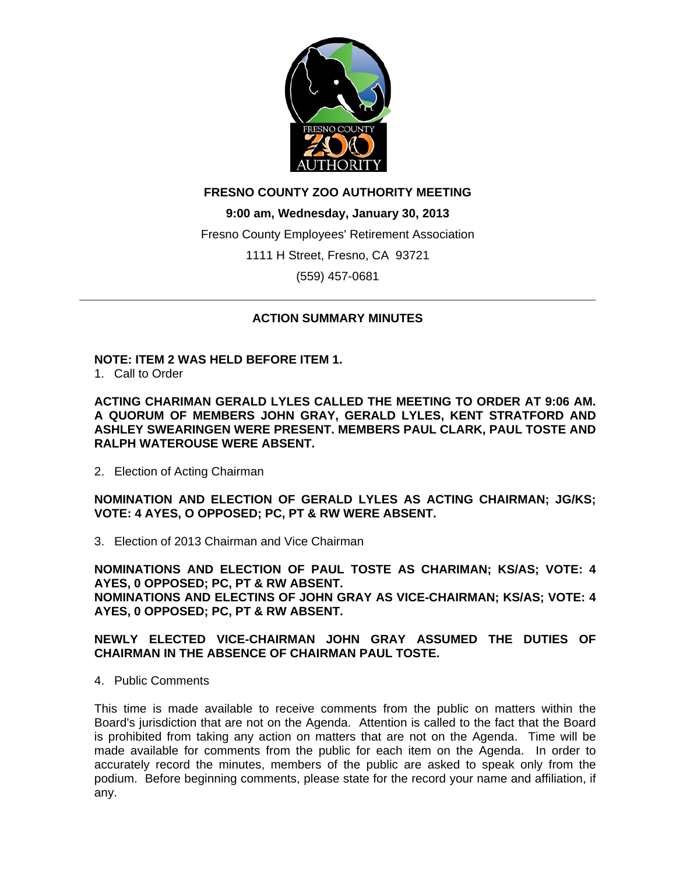

# **FRESNO COUNTY ZOO AUTHORITY MEETING**

**9:00 am, Wednesday, January 30, 2013**  Fresno County Employees' Retirement Association 1111 H Street, Fresno, CA 93721 (559) 457-0681

# **ACTION SUMMARY MINUTES**

# **NOTE: ITEM 2 WAS HELD BEFORE ITEM 1.**

1. Call to Order

**ACTING CHARIMAN GERALD LYLES CALLED THE MEETING TO ORDER AT 9:06 AM. A QUORUM OF MEMBERS JOHN GRAY, GERALD LYLES, KENT STRATFORD AND ASHLEY SWEARINGEN WERE PRESENT. MEMBERS PAUL CLARK, PAUL TOSTE AND RALPH WATEROUSE WERE ABSENT.** 

2. Election of Acting Chairman

**NOMINATION AND ELECTION OF GERALD LYLES AS ACTING CHAIRMAN; JG/KS; VOTE: 4 AYES, O OPPOSED; PC, PT & RW WERE ABSENT.** 

3. Election of 2013 Chairman and Vice Chairman

**NOMINATIONS AND ELECTION OF PAUL TOSTE AS CHARIMAN; KS/AS; VOTE: 4 AYES, 0 OPPOSED; PC, PT & RW ABSENT. NOMINATIONS AND ELECTINS OF JOHN GRAY AS VICE-CHAIRMAN; KS/AS; VOTE: 4 AYES, 0 OPPOSED; PC, PT & RW ABSENT.** 

### **NEWLY ELECTED VICE-CHAIRMAN JOHN GRAY ASSUMED THE DUTIES OF CHAIRMAN IN THE ABSENCE OF CHAIRMAN PAUL TOSTE.**

4. Public Comments

This time is made available to receive comments from the public on matters within the Board's jurisdiction that are not on the Agenda. Attention is called to the fact that the Board is prohibited from taking any action on matters that are not on the Agenda. Time will be made available for comments from the public for each item on the Agenda. In order to accurately record the minutes, members of the public are asked to speak only from the podium. Before beginning comments, please state for the record your name and affiliation, if any.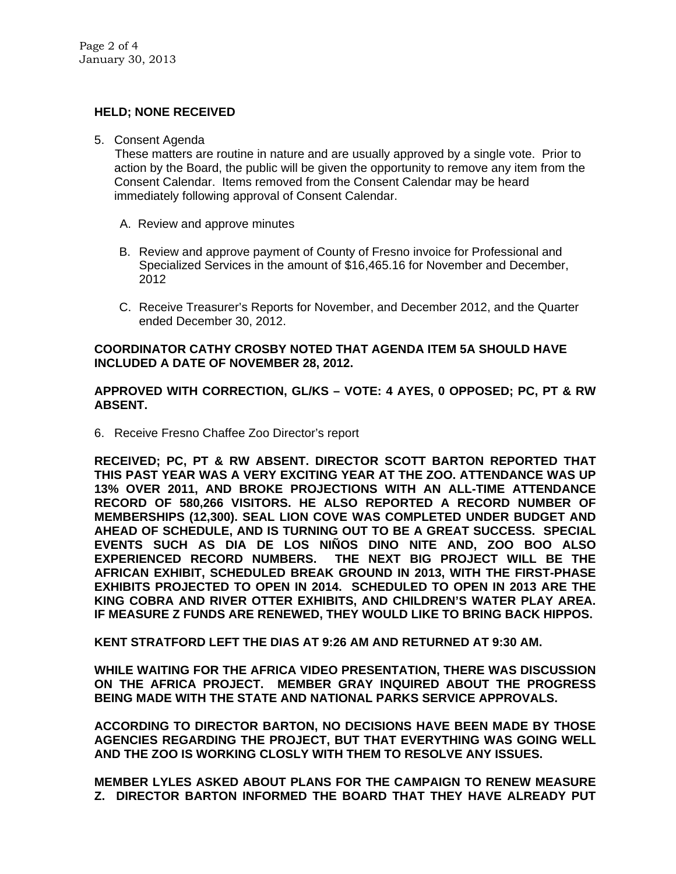### **HELD; NONE RECEIVED**

5. Consent Agenda

These matters are routine in nature and are usually approved by a single vote. Prior to action by the Board, the public will be given the opportunity to remove any item from the Consent Calendar. Items removed from the Consent Calendar may be heard immediately following approval of Consent Calendar.

- A. Review and approve minutes
- B. Review and approve payment of County of Fresno invoice for Professional and Specialized Services in the amount of \$16,465.16 for November and December, 2012
- C. Receive Treasurer's Reports for November, and December 2012, and the Quarter ended December 30, 2012.

### **COORDINATOR CATHY CROSBY NOTED THAT AGENDA ITEM 5A SHOULD HAVE INCLUDED A DATE OF NOVEMBER 28, 2012.**

**APPROVED WITH CORRECTION, GL/KS – VOTE: 4 AYES, 0 OPPOSED; PC, PT & RW ABSENT.** 

6. Receive Fresno Chaffee Zoo Director's report

**RECEIVED; PC, PT & RW ABSENT. DIRECTOR SCOTT BARTON REPORTED THAT THIS PAST YEAR WAS A VERY EXCITING YEAR AT THE ZOO. ATTENDANCE WAS UP 13% OVER 2011, AND BROKE PROJECTIONS WITH AN ALL-TIME ATTENDANCE RECORD OF 580,266 VISITORS. HE ALSO REPORTED A RECORD NUMBER OF MEMBERSHIPS (12,300). SEAL LION COVE WAS COMPLETED UNDER BUDGET AND AHEAD OF SCHEDULE, AND IS TURNING OUT TO BE A GREAT SUCCESS. SPECIAL EVENTS SUCH AS DIA DE LOS NIÑOS DINO NITE AND, ZOO BOO ALSO EXPERIENCED RECORD NUMBERS. THE NEXT BIG PROJECT WILL BE THE AFRICAN EXHIBIT, SCHEDULED BREAK GROUND IN 2013, WITH THE FIRST-PHASE EXHIBITS PROJECTED TO OPEN IN 2014. SCHEDULED TO OPEN IN 2013 ARE THE KING COBRA AND RIVER OTTER EXHIBITS, AND CHILDREN'S WATER PLAY AREA. IF MEASURE Z FUNDS ARE RENEWED, THEY WOULD LIKE TO BRING BACK HIPPOS.** 

**KENT STRATFORD LEFT THE DIAS AT 9:26 AM AND RETURNED AT 9:30 AM.** 

**WHILE WAITING FOR THE AFRICA VIDEO PRESENTATION, THERE WAS DISCUSSION ON THE AFRICA PROJECT. MEMBER GRAY INQUIRED ABOUT THE PROGRESS BEING MADE WITH THE STATE AND NATIONAL PARKS SERVICE APPROVALS.** 

**ACCORDING TO DIRECTOR BARTON, NO DECISIONS HAVE BEEN MADE BY THOSE AGENCIES REGARDING THE PROJECT, BUT THAT EVERYTHING WAS GOING WELL AND THE ZOO IS WORKING CLOSLY WITH THEM TO RESOLVE ANY ISSUES.** 

**MEMBER LYLES ASKED ABOUT PLANS FOR THE CAMPAIGN TO RENEW MEASURE Z. DIRECTOR BARTON INFORMED THE BOARD THAT THEY HAVE ALREADY PUT**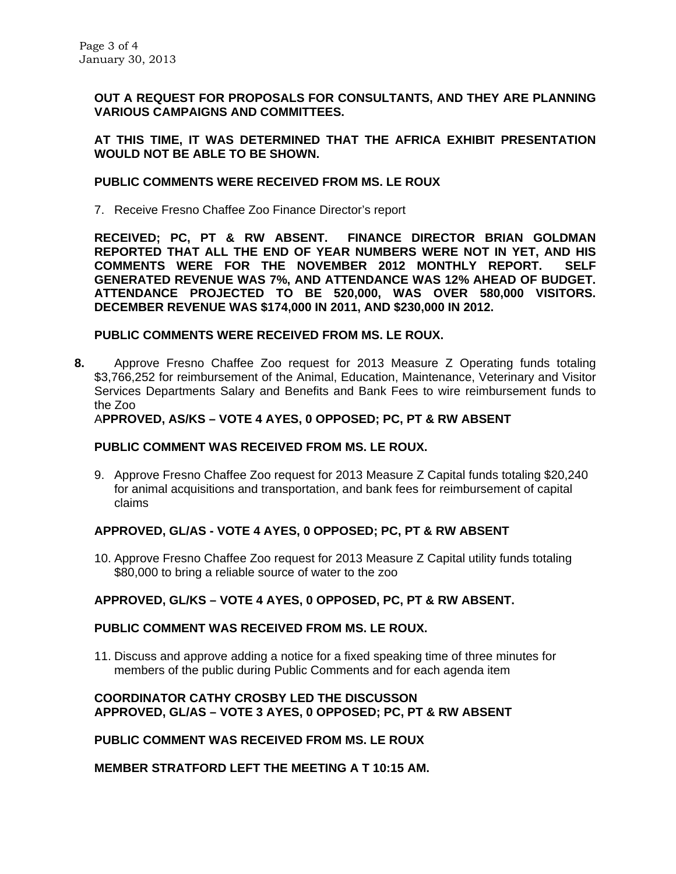**OUT A REQUEST FOR PROPOSALS FOR CONSULTANTS, AND THEY ARE PLANNING VARIOUS CAMPAIGNS AND COMMITTEES.** 

**AT THIS TIME, IT WAS DETERMINED THAT THE AFRICA EXHIBIT PRESENTATION WOULD NOT BE ABLE TO BE SHOWN.** 

### **PUBLIC COMMENTS WERE RECEIVED FROM MS. LE ROUX**

7. Receive Fresno Chaffee Zoo Finance Director's report

**RECEIVED; PC, PT & RW ABSENT. FINANCE DIRECTOR BRIAN GOLDMAN REPORTED THAT ALL THE END OF YEAR NUMBERS WERE NOT IN YET, AND HIS COMMENTS WERE FOR THE NOVEMBER 2012 MONTHLY REPORT. SELF GENERATED REVENUE WAS 7%, AND ATTENDANCE WAS 12% AHEAD OF BUDGET. ATTENDANCE PROJECTED TO BE 520,000, WAS OVER 580,000 VISITORS. DECEMBER REVENUE WAS \$174,000 IN 2011, AND \$230,000 IN 2012.** 

### **PUBLIC COMMENTS WERE RECEIVED FROM MS. LE ROUX.**

**8.** Approve Fresno Chaffee Zoo request for 2013 Measure Z Operating funds totaling \$3,766,252 for reimbursement of the Animal, Education, Maintenance, Veterinary and Visitor Services Departments Salary and Benefits and Bank Fees to wire reimbursement funds to the Zoo

# A**PPROVED, AS/KS – VOTE 4 AYES, 0 OPPOSED; PC, PT & RW ABSENT**

### **PUBLIC COMMENT WAS RECEIVED FROM MS. LE ROUX.**

9. Approve Fresno Chaffee Zoo request for 2013 Measure Z Capital funds totaling \$20,240 for animal acquisitions and transportation, and bank fees for reimbursement of capital claims

## **APPROVED, GL/AS - VOTE 4 AYES, 0 OPPOSED; PC, PT & RW ABSENT**

10. Approve Fresno Chaffee Zoo request for 2013 Measure Z Capital utility funds totaling \$80,000 to bring a reliable source of water to the zoo

## **APPROVED, GL/KS – VOTE 4 AYES, 0 OPPOSED, PC, PT & RW ABSENT.**

### **PUBLIC COMMENT WAS RECEIVED FROM MS. LE ROUX.**

11. Discuss and approve adding a notice for a fixed speaking time of three minutes for members of the public during Public Comments and for each agenda item

## **COORDINATOR CATHY CROSBY LED THE DISCUSSON APPROVED, GL/AS – VOTE 3 AYES, 0 OPPOSED; PC, PT & RW ABSENT**

### **PUBLIC COMMENT WAS RECEIVED FROM MS. LE ROUX**

### **MEMBER STRATFORD LEFT THE MEETING A T 10:15 AM.**